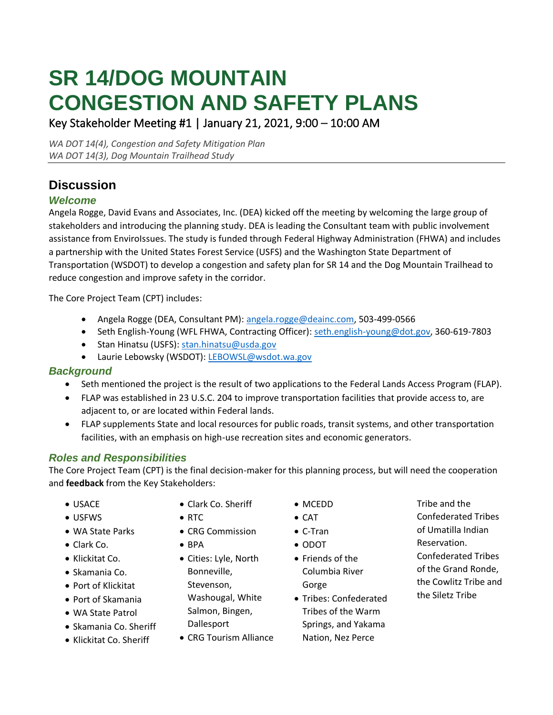# **SR 14/DOG MOUNTAIN CONGESTION AND SAFETY PLANS**

Key Stakeholder Meeting #1 | January 21, 2021, 9:00 – 10:00 AM

*WA DOT 14(4), Congestion and Safety Mitigation Plan WA DOT 14(3), Dog Mountain Trailhead Study*

# **Discussion**

# *Welcome*

Angela Rogge, David Evans and Associates, Inc. (DEA) kicked off the meeting by welcoming the large group of stakeholders and introducing the planning study. DEA is leading the Consultant team with public involvement assistance from EnviroIssues. The study is funded through Federal Highway Administration (FHWA) and includes a partnership with the United States Forest Service (USFS) and the Washington State Department of Transportation (WSDOT) to develop a congestion and safety plan for SR 14 and the Dog Mountain Trailhead to reduce congestion and improve safety in the corridor.

The Core Project Team (CPT) includes:

- Angela Rogge (DEA, Consultant PM): [angela.rogge@deainc.com,](mailto:angela.rogge@deainc.com) 503-499-0566
- Seth English-Young (WFL FHWA, Contracting Officer): [seth.english-young@dot.gov,](mailto:seth.english-young@dot.gov) 360-619-7803
- Stan Hinatsu (USFS): [stan.hinatsu@usda.gov](mailto:stan.hinatsu@usda.gov)
- Laurie Lebowsky (WSDOT)[: LEBOWSL@wsdot.wa.gov](mailto:LEBOWSL@wsdot.wa.gov)

## *Background*

- Seth mentioned the project is the result of two applications to the Federal Lands Access Program (FLAP).
- FLAP was established in 23 U.S.C. 204 to improve transportation facilities that provide access to, are adjacent to, or are located within Federal lands.
- FLAP supplements State and local resources for public roads, transit systems, and other transportation facilities, with an emphasis on high-use recreation sites and economic generators.

# *Roles and Responsibilities*

The Core Project Team (CPT) is the final decision-maker for this planning process, but will need the cooperation and **feedback** from the Key Stakeholders:

- USACE
- USFWS
- WA State Parks
- Clark Co.
- Klickitat Co.
- Skamania Co.
- Port of Klickitat
- Port of Skamania
- WA State Patrol
- Skamania Co. Sheriff
- Klickitat Co. Sheriff
- Clark Co. Sheriff
- RTC
- CRG Commission
- BPA
- Cities: Lyle, North Bonneville, Stevenson, Washougal, White Salmon, Bingen, **Dallesport**
- CRG Tourism Alliance
- MCEDD
- CAT
- C-Tran
- ODOT
- Friends of the Columbia River Gorge
- Tribes: Confederated Tribes of the Warm Springs, and Yakama Nation, Nez Perce
- Tribe and the
- Confederated Tribes
- of Umatilla Indian
- Reservation.
- Confederated Tribes of the Grand Ronde, the Cowlitz Tribe and the Siletz Tribe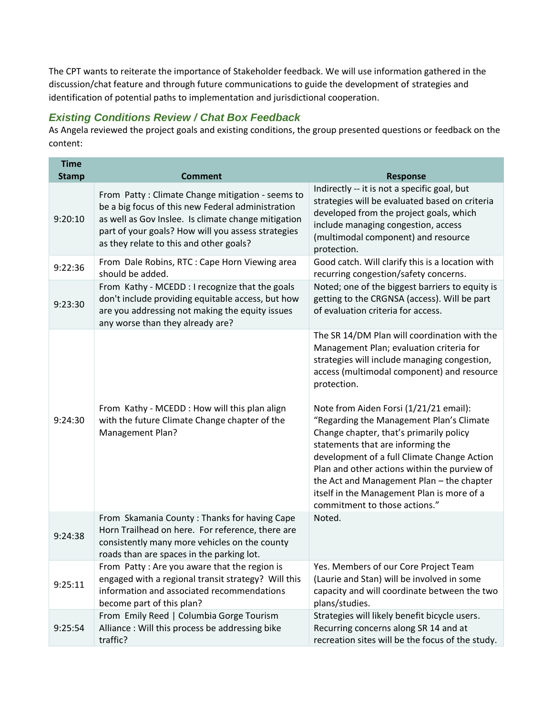The CPT wants to reiterate the importance of Stakeholder feedback. We will use information gathered in the discussion/chat feature and through future communications to guide the development of strategies and identification of potential paths to implementation and jurisdictional cooperation.

#### *Existing Conditions Review / Chat Box Feedback*

As Angela reviewed the project goals and existing conditions, the group presented questions or feedback on the content:

| <b>Time</b><br><b>Stamp</b> | <b>Comment</b>                                                                                                                                                                                                                                                | <b>Response</b>                                                                                                                                                                                                                                                                                                                                                                                                                                                                                                                                                                                        |
|-----------------------------|---------------------------------------------------------------------------------------------------------------------------------------------------------------------------------------------------------------------------------------------------------------|--------------------------------------------------------------------------------------------------------------------------------------------------------------------------------------------------------------------------------------------------------------------------------------------------------------------------------------------------------------------------------------------------------------------------------------------------------------------------------------------------------------------------------------------------------------------------------------------------------|
| 9:20:10                     | From Patty: Climate Change mitigation - seems to<br>be a big focus of this new Federal administration<br>as well as Gov Inslee. Is climate change mitigation<br>part of your goals? How will you assess strategies<br>as they relate to this and other goals? | Indirectly -- it is not a specific goal, but<br>strategies will be evaluated based on criteria<br>developed from the project goals, which<br>include managing congestion, access<br>(multimodal component) and resource<br>protection.                                                                                                                                                                                                                                                                                                                                                                 |
| 9:22:36                     | From Dale Robins, RTC : Cape Horn Viewing area<br>should be added.                                                                                                                                                                                            | Good catch. Will clarify this is a location with<br>recurring congestion/safety concerns.                                                                                                                                                                                                                                                                                                                                                                                                                                                                                                              |
| 9:23:30                     | From Kathy - MCEDD : I recognize that the goals<br>don't include providing equitable access, but how<br>are you addressing not making the equity issues<br>any worse than they already are?                                                                   | Noted; one of the biggest barriers to equity is<br>getting to the CRGNSA (access). Will be part<br>of evaluation criteria for access.                                                                                                                                                                                                                                                                                                                                                                                                                                                                  |
| 9:24:30                     | From Kathy - MCEDD: How will this plan align<br>with the future Climate Change chapter of the<br>Management Plan?                                                                                                                                             | The SR 14/DM Plan will coordination with the<br>Management Plan; evaluation criteria for<br>strategies will include managing congestion,<br>access (multimodal component) and resource<br>protection.<br>Note from Aiden Forsi (1/21/21 email):<br>"Regarding the Management Plan's Climate<br>Change chapter, that's primarily policy<br>statements that are informing the<br>development of a full Climate Change Action<br>Plan and other actions within the purview of<br>the Act and Management Plan - the chapter<br>itself in the Management Plan is more of a<br>commitment to those actions." |
| 9:24:38                     | From Skamania County: Thanks for having Cape<br>Horn Trailhead on here. For reference, there are<br>consistently many more vehicles on the county<br>roads than are spaces in the parking lot.                                                                | Noted.                                                                                                                                                                                                                                                                                                                                                                                                                                                                                                                                                                                                 |
| 9:25:11                     | From Patty: Are you aware that the region is<br>engaged with a regional transit strategy? Will this<br>information and associated recommendations<br>become part of this plan?                                                                                | Yes. Members of our Core Project Team<br>(Laurie and Stan) will be involved in some<br>capacity and will coordinate between the two<br>plans/studies.                                                                                                                                                                                                                                                                                                                                                                                                                                                  |
| 9:25:54                     | From Emily Reed   Columbia Gorge Tourism<br>Alliance: Will this process be addressing bike<br>traffic?                                                                                                                                                        | Strategies will likely benefit bicycle users.<br>Recurring concerns along SR 14 and at<br>recreation sites will be the focus of the study.                                                                                                                                                                                                                                                                                                                                                                                                                                                             |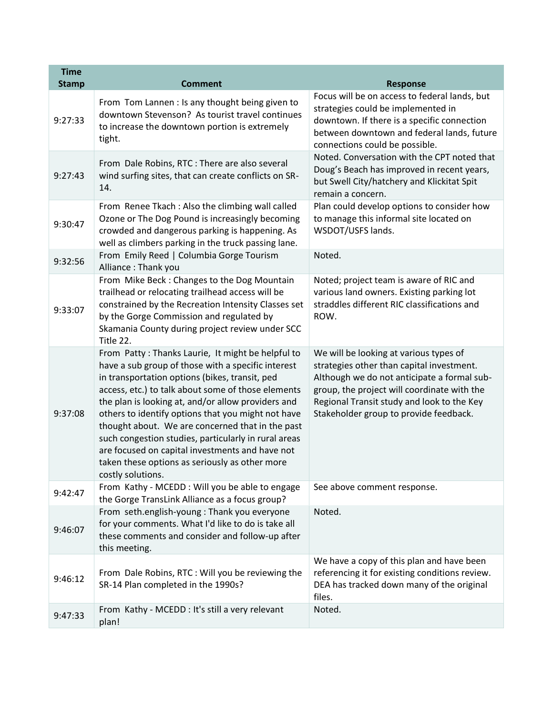| <b>Time</b><br><b>Stamp</b> | <b>Comment</b>                                                                                                                                                                                                                                                                                                                                                                                                                                                                                                                                                    | <b>Response</b>                                                                                                                                                                                                                                                           |
|-----------------------------|-------------------------------------------------------------------------------------------------------------------------------------------------------------------------------------------------------------------------------------------------------------------------------------------------------------------------------------------------------------------------------------------------------------------------------------------------------------------------------------------------------------------------------------------------------------------|---------------------------------------------------------------------------------------------------------------------------------------------------------------------------------------------------------------------------------------------------------------------------|
| 9:27:33                     | From Tom Lannen : Is any thought being given to<br>downtown Stevenson? As tourist travel continues<br>to increase the downtown portion is extremely<br>tight.                                                                                                                                                                                                                                                                                                                                                                                                     | Focus will be on access to federal lands, but<br>strategies could be implemented in<br>downtown. If there is a specific connection<br>between downtown and federal lands, future<br>connections could be possible.                                                        |
| 9:27:43                     | From Dale Robins, RTC : There are also several<br>wind surfing sites, that can create conflicts on SR-<br>14.                                                                                                                                                                                                                                                                                                                                                                                                                                                     | Noted. Conversation with the CPT noted that<br>Doug's Beach has improved in recent years,<br>but Swell City/hatchery and Klickitat Spit<br>remain a concern.                                                                                                              |
| 9:30:47                     | From Renee Tkach: Also the climbing wall called<br>Ozone or The Dog Pound is increasingly becoming<br>crowded and dangerous parking is happening. As<br>well as climbers parking in the truck passing lane.                                                                                                                                                                                                                                                                                                                                                       | Plan could develop options to consider how<br>to manage this informal site located on<br>WSDOT/USFS lands.                                                                                                                                                                |
| 9:32:56                     | From Emily Reed   Columbia Gorge Tourism<br>Alliance: Thank you                                                                                                                                                                                                                                                                                                                                                                                                                                                                                                   | Noted.                                                                                                                                                                                                                                                                    |
| 9:33:07                     | From Mike Beck: Changes to the Dog Mountain<br>trailhead or relocating trailhead access will be<br>constrained by the Recreation Intensity Classes set<br>by the Gorge Commission and regulated by<br>Skamania County during project review under SCC<br>Title 22.                                                                                                                                                                                                                                                                                                | Noted; project team is aware of RIC and<br>various land owners. Existing parking lot<br>straddles different RIC classifications and<br>ROW.                                                                                                                               |
| 9:37:08                     | From Patty: Thanks Laurie, It might be helpful to<br>have a sub group of those with a specific interest<br>in transportation options (bikes, transit, ped<br>access, etc.) to talk about some of those elements<br>the plan is looking at, and/or allow providers and<br>others to identify options that you might not have<br>thought about. We are concerned that in the past<br>such congestion studies, particularly in rural areas<br>are focused on capital investments and have not<br>taken these options as seriously as other more<br>costly solutions. | We will be looking at various types of<br>strategies other than capital investment.<br>Although we do not anticipate a formal sub-<br>group, the project will coordinate with the<br>Regional Transit study and look to the Key<br>Stakeholder group to provide feedback. |
| 9:42:47                     | From Kathy - MCEDD: Will you be able to engage<br>the Gorge TransLink Alliance as a focus group?                                                                                                                                                                                                                                                                                                                                                                                                                                                                  | See above comment response.                                                                                                                                                                                                                                               |
| 9:46:07                     | From seth.english-young: Thank you everyone<br>for your comments. What I'd like to do is take all<br>these comments and consider and follow-up after<br>this meeting.                                                                                                                                                                                                                                                                                                                                                                                             | Noted.                                                                                                                                                                                                                                                                    |
| 9:46:12                     | From Dale Robins, RTC : Will you be reviewing the<br>SR-14 Plan completed in the 1990s?                                                                                                                                                                                                                                                                                                                                                                                                                                                                           | We have a copy of this plan and have been<br>referencing it for existing conditions review.<br>DEA has tracked down many of the original<br>files.                                                                                                                        |
| 9:47:33                     | From Kathy - MCEDD : It's still a very relevant<br>plan!                                                                                                                                                                                                                                                                                                                                                                                                                                                                                                          | Noted.                                                                                                                                                                                                                                                                    |